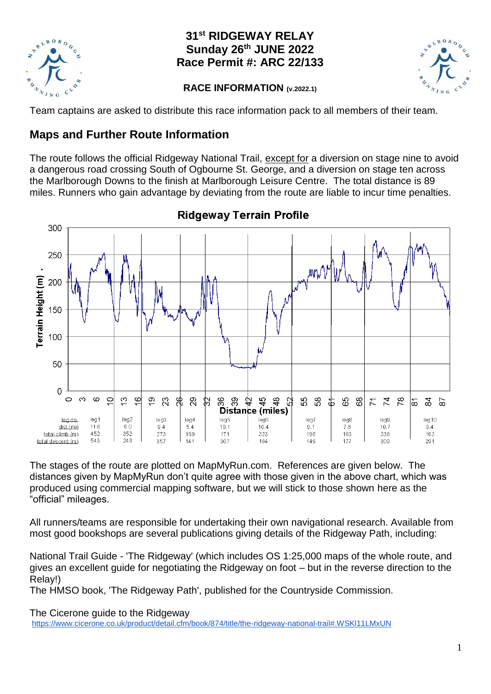

## **31st RIDGEWAY RELAY Sunday 26th JUNE 2022 Race Permit #: ARC 22/133**



## **RACE INFORMATION (v.2022.1)**

Team captains are asked to distribute this race information pack to all members of their team.

# **Maps and Further Route Information**

The route follows the official Ridgeway National Trail, except for a diversion on stage nine to avoid a dangerous road crossing South of Ogbourne St. George, and a diversion on stage ten across the Marlborough Downs to the finish at Marlborough Leisure Centre. The total distance is 89 miles. Runners who gain advantage by deviating from the route are liable to incur time penalties.



**Ridgeway Terrain Profile** 

The stages of the route are plotted on MapMyRun.com. References are given below. The distances given by MapMyRun don't quite agree with those given in the above chart, which was produced using commercial mapping software, but we will stick to those shown here as the "official" mileages.

All runners/teams are responsible for undertaking their own navigational research. Available from most good bookshops are several publications giving details of the Ridgeway Path, including:

National Trail Guide - 'The Ridgeway' (which includes OS 1:25,000 maps of the whole route, and gives an excellent guide for negotiating the Ridgeway on foot – but in the reverse direction to the Relay!)

The HMSO book, 'The Ridgeway Path', published for the Countryside Commission.

The Cicerone guide to the Ridgeway

<https://www.cicerone.co.uk/product/detail.cfm/book/874/title/the-ridgeway-national-trail#.WSKl11LMxUN>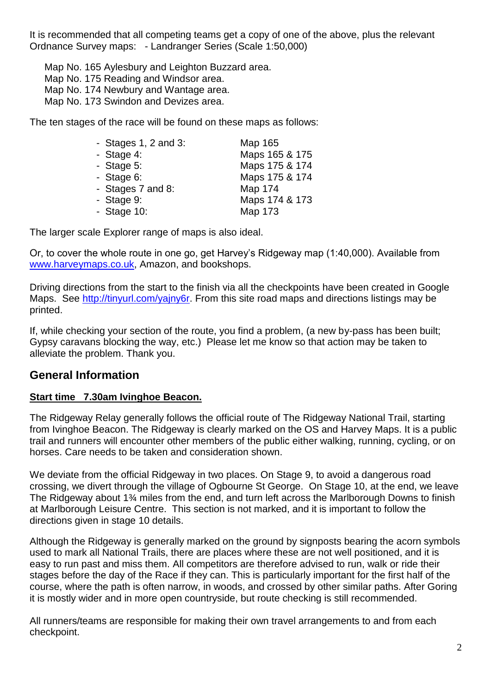It is recommended that all competing teams get a copy of one of the above, plus the relevant Ordnance Survey maps: - Landranger Series (Scale 1:50,000)

Map No. 165 Aylesbury and Leighton Buzzard area.

- Map No. 175 Reading and Windsor area.
- Map No. 174 Newbury and Wantage area.
- Map No. 173 Swindon and Devizes area.

The ten stages of the race will be found on these maps as follows:

| - Stages $1, 2$ and $3:$ | Map 165        |
|--------------------------|----------------|
| - Stage $4$ :            | Maps 165 & 175 |
| - Stage $5:$             | Maps 175 & 174 |
| - Stage $6$ :            | Maps 175 & 174 |
| - Stages 7 and 8:        | <b>Map 174</b> |
| - Stage $9$ :            | Maps 174 & 173 |
| - Stage $10$ :           | <b>Map 173</b> |

The larger scale Explorer range of maps is also ideal.

Or, to cover the whole route in one go, get Harvey's Ridgeway map (1:40,000). Available from [www.harveymaps.co.uk,](http://www.harveymaps.co.uk/) Amazon, and bookshops.

Driving directions from the start to the finish via all the checkpoints have been created in Google Maps. See [http://tinyurl.com/yajny6r.](http://tinyurl.com/yajny6r) From this site road maps and directions listings may be printed.

If, while checking your section of the route, you find a problem, (a new by-pass has been built; Gypsy caravans blocking the way, etc.) Please let me know so that action may be taken to alleviate the problem. Thank you.

# **General Information**

## **Start time 7.30am Ivinghoe Beacon.**

The Ridgeway Relay generally follows the official route of The Ridgeway National Trail, starting from Ivinghoe Beacon. The Ridgeway is clearly marked on the OS and Harvey Maps. It is a public trail and runners will encounter other members of the public either walking, running, cycling, or on horses. Care needs to be taken and consideration shown.

We deviate from the official Ridgeway in two places. On Stage 9, to avoid a dangerous road crossing, we divert through the village of Ogbourne St George. On Stage 10, at the end, we leave The Ridgeway about 1¾ miles from the end, and turn left across the Marlborough Downs to finish at Marlborough Leisure Centre. This section is not marked, and it is important to follow the directions given in stage 10 details.

Although the Ridgeway is generally marked on the ground by signposts bearing the acorn symbols used to mark all National Trails, there are places where these are not well positioned, and it is easy to run past and miss them. All competitors are therefore advised to run, walk or ride their stages before the day of the Race if they can. This is particularly important for the first half of the course, where the path is often narrow, in woods, and crossed by other similar paths. After Goring it is mostly wider and in more open countryside, but route checking is still recommended.

All runners/teams are responsible for making their own travel arrangements to and from each checkpoint.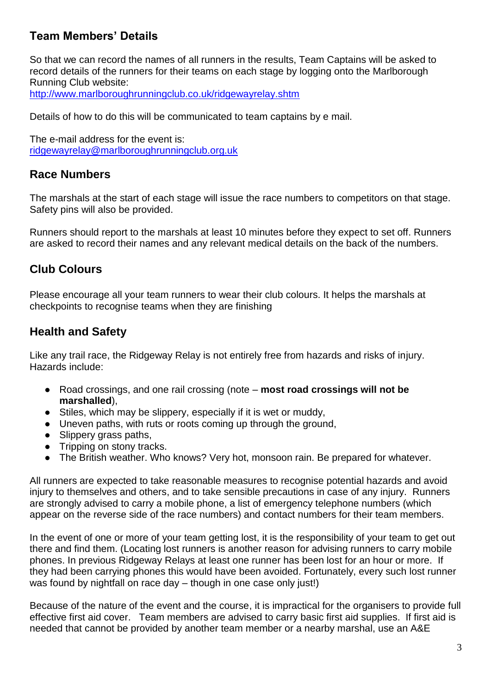# **Team Members' Details**

So that we can record the names of all runners in the results, Team Captains will be asked to record details of the runners for their teams on each stage by logging onto the Marlborough Running Club website:

<http://www.marlboroughrunningclub.co.uk/ridgewayrelay.shtm>

Details of how to do this will be communicated to team captains by e mail.

The e-mail address for the event is: [ridgewayrelay@marlboroughrunningclub.org.uk](mailto:ridgewayrelay@marlboroughrunningclub.org.uk)

# **Race Numbers**

The marshals at the start of each stage will issue the race numbers to competitors on that stage. Safety pins will also be provided.

Runners should report to the marshals at least 10 minutes before they expect to set off. Runners are asked to record their names and any relevant medical details on the back of the numbers.

# **Club Colours**

Please encourage all your team runners to wear their club colours. It helps the marshals at checkpoints to recognise teams when they are finishing

# **Health and Safety**

Like any trail race, the Ridgeway Relay is not entirely free from hazards and risks of injury. Hazards include:

- Road crossings, and one rail crossing (note **most road crossings will not be marshalled**),
- Stiles, which may be slippery, especially if it is wet or muddy,
- Uneven paths, with ruts or roots coming up through the ground,
- Slippery grass paths,
- Tripping on stony tracks.
- The British weather. Who knows? Very hot, monsoon rain. Be prepared for whatever.

All runners are expected to take reasonable measures to recognise potential hazards and avoid injury to themselves and others, and to take sensible precautions in case of any injury. Runners are strongly advised to carry a mobile phone, a list of emergency telephone numbers (which appear on the reverse side of the race numbers) and contact numbers for their team members.

In the event of one or more of your team getting lost, it is the responsibility of your team to get out there and find them. (Locating lost runners is another reason for advising runners to carry mobile phones. In previous Ridgeway Relays at least one runner has been lost for an hour or more. If they had been carrying phones this would have been avoided. Fortunately, every such lost runner was found by nightfall on race day – though in one case only just!)

Because of the nature of the event and the course, it is impractical for the organisers to provide full effective first aid cover. Team members are advised to carry basic first aid supplies. If first aid is needed that cannot be provided by another team member or a nearby marshal, use an A&E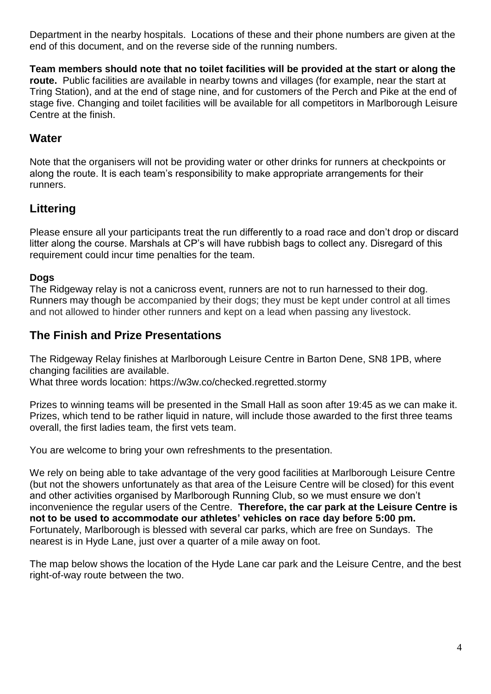Department in the nearby hospitals. Locations of these and their phone numbers are given at the end of this document, and on the reverse side of the running numbers.

**Team members should note that no toilet facilities will be provided at the start or along the route.** Public facilities are available in nearby towns and villages (for example, near the start at Tring Station), and at the end of stage nine, and for customers of the Perch and Pike at the end of stage five. Changing and toilet facilities will be available for all competitors in Marlborough Leisure Centre at the finish.

# **Water**

Note that the organisers will not be providing water or other drinks for runners at checkpoints or along the route. It is each team's responsibility to make appropriate arrangements for their runners.

# **Littering**

Please ensure all your participants treat the run differently to a road race and don't drop or discard litter along the course. Marshals at CP's will have rubbish bags to collect any. Disregard of this requirement could incur time penalties for the team.

## **Dogs**

The Ridgeway relay is not a canicross event, runners are not to run harnessed to their dog. Runners may though be accompanied by their dogs; they must be kept under control at all times and not allowed to hinder other runners and kept on a lead when passing any livestock.

# **The Finish and Prize Presentations**

The Ridgeway Relay finishes at Marlborough Leisure Centre in Barton Dene, SN8 1PB, where changing facilities are available.

What three words location: https://w3w.co/checked.regretted.stormy

Prizes to winning teams will be presented in the Small Hall as soon after 19:45 as we can make it. Prizes, which tend to be rather liquid in nature, will include those awarded to the first three teams overall, the first ladies team, the first vets team.

You are welcome to bring your own refreshments to the presentation.

We rely on being able to take advantage of the very good facilities at Marlborough Leisure Centre (but not the showers unfortunately as that area of the Leisure Centre will be closed) for this event and other activities organised by Marlborough Running Club, so we must ensure we don't inconvenience the regular users of the Centre. **Therefore, the car park at the Leisure Centre is not to be used to accommodate our athletes' vehicles on race day before 5:00 pm.** Fortunately, Marlborough is blessed with several car parks, which are free on Sundays. The nearest is in Hyde Lane, just over a quarter of a mile away on foot.

The map below shows the location of the Hyde Lane car park and the Leisure Centre, and the best right-of-way route between the two.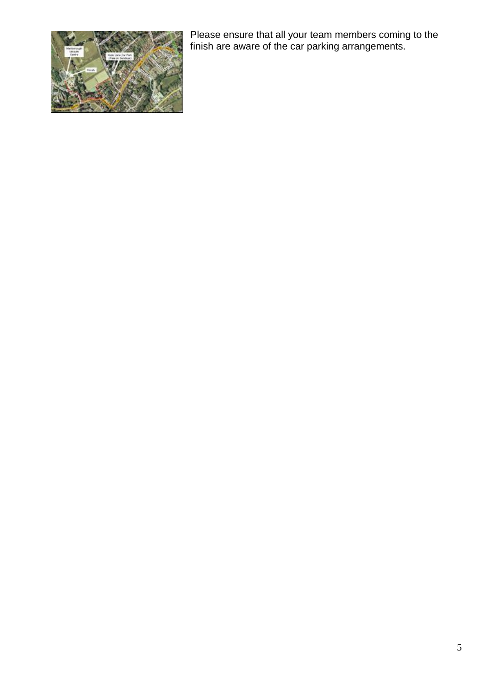

Please ensure that all your team members coming to the finish are aware of the car parking arrangements.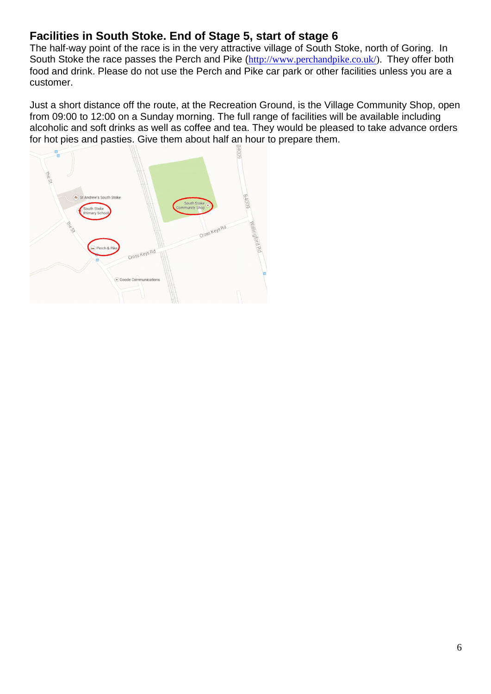# **Facilities in South Stoke. End of Stage 5, start of stage 6**

The half-way point of the race is in the very attractive village of South Stoke, north of Goring. In South Stoke the race passes the Perch and Pike ([http://www.perchandpike.co.uk/\)](http://www.perchandpike.co.uk/). They offer both food and drink. Please do not use the Perch and Pike car park or other facilities unless you are a customer.

Just a short distance off the route, at the Recreation Ground, is the Village Community Shop, open from 09:00 to 12:00 on a Sunday morning. The full range of facilities will be available including alcoholic and soft drinks as well as coffee and tea. They would be pleased to take advance orders for hot pies and pasties. Give them about half an hour to prepare them.

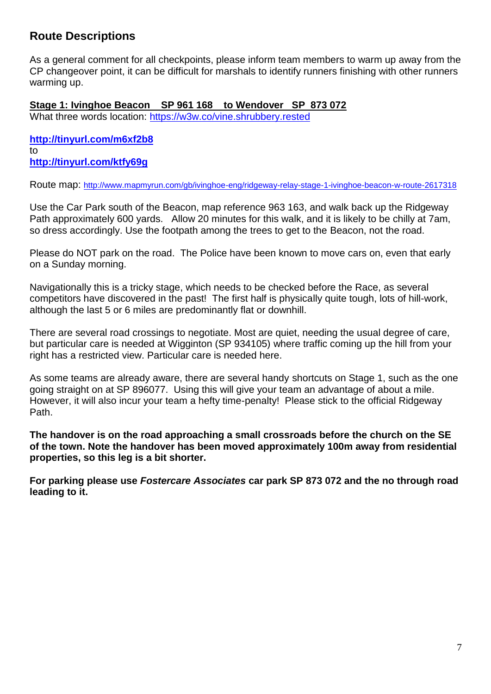# **Route Descriptions**

As a general comment for all checkpoints, please inform team members to warm up away from the CP changeover point, it can be difficult for marshals to identify runners finishing with other runners warming up.

**Stage 1: Ivinghoe Beacon SP 961 168 to Wendover SP 873 072** 

What three words location:<https://w3w.co/vine.shrubbery.rested>

**<http://tinyurl.com/m6xf2b8>** to **http://tinyurl.com/ktfy69g**

Route map: <http://www.mapmyrun.com/gb/ivinghoe-eng/ridgeway-relay-stage-1-ivinghoe-beacon-w-route-2617318>

Use the Car Park south of the Beacon, map reference 963 163, and walk back up the Ridgeway Path approximately 600 yards. Allow 20 minutes for this walk, and it is likely to be chilly at 7am, so dress accordingly. Use the footpath among the trees to get to the Beacon, not the road.

Please do NOT park on the road. The Police have been known to move cars on, even that early on a Sunday morning.

Navigationally this is a tricky stage, which needs to be checked before the Race, as several competitors have discovered in the past! The first half is physically quite tough, lots of hill-work, although the last 5 or 6 miles are predominantly flat or downhill.

There are several road crossings to negotiate. Most are quiet, needing the usual degree of care, but particular care is needed at Wigginton (SP 934105) where traffic coming up the hill from your right has a restricted view. Particular care is needed here.

As some teams are already aware, there are several handy shortcuts on Stage 1, such as the one going straight on at SP 896077. Using this will give your team an advantage of about a mile. However, it will also incur your team a hefty time-penalty! Please stick to the official Ridgeway Path.

**The handover is on the road approaching a small crossroads before the church on the SE of the town. Note the handover has been moved approximately 100m away from residential properties, so this leg is a bit shorter.**

**For parking please use** *Fostercare Associates* **car park SP 873 072 and the no through road leading to it.**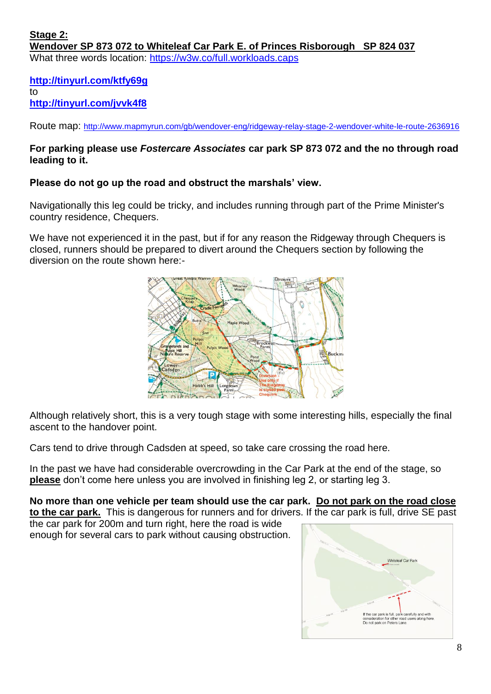**<http://tinyurl.com/ktfy69g>** to **<http://tinyurl.com/jvvk4f8>**

Route map: <http://www.mapmyrun.com/gb/wendover-eng/ridgeway-relay-stage-2-wendover-white-le-route-2636916>

## **For parking please use** *Fostercare Associates* **car park SP 873 072 and the no through road leading to it.**

### **Please do not go up the road and obstruct the marshals' view.**

Navigationally this leg could be tricky, and includes running through part of the Prime Minister's country residence, Chequers.

We have not experienced it in the past, but if for any reason the Ridgeway through Chequers is closed, runners should be prepared to divert around the Chequers section by following the diversion on the route shown here:-



Although relatively short, this is a very tough stage with some interesting hills, especially the final ascent to the handover point.

Cars tend to drive through Cadsden at speed, so take care crossing the road here.

In the past we have had considerable overcrowding in the Car Park at the end of the stage, so **please** don't come here unless you are involved in finishing leg 2, or starting leg 3.

# **No more than one vehicle per team should use the car park. Do not park on the road close**

**to the car park.** This is dangerous for runners and for drivers. If the car park is full, drive SE past the car park for 200m and turn right, here the road is wide

enough for several cars to park without causing obstruction.

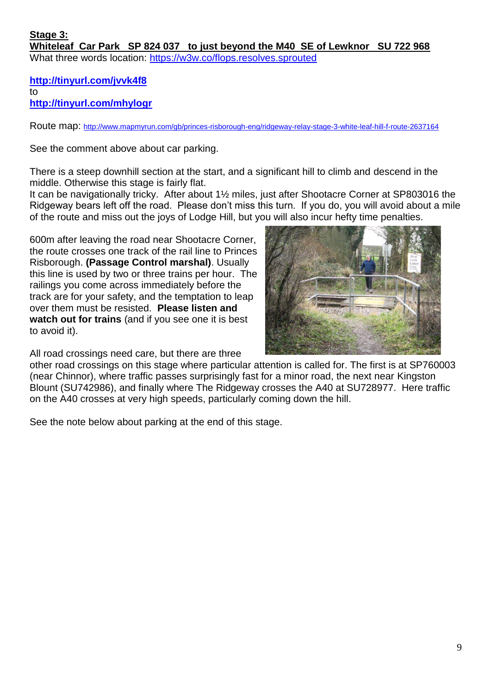**<http://tinyurl.com/jvvk4f8>** to **<http://tinyurl.com/mhylogr>**

Route map: <http://www.mapmyrun.com/gb/princes-risborough-eng/ridgeway-relay-stage-3-white-leaf-hill-f-route-2637164>

See the comment above about car parking.

There is a steep downhill section at the start, and a significant hill to climb and descend in the middle. Otherwise this stage is fairly flat.

It can be navigationally tricky. After about 1½ miles, just after Shootacre Corner at SP803016 the Ridgeway bears left off the road. Please don't miss this turn. If you do, you will avoid about a mile of the route and miss out the joys of Lodge Hill, but you will also incur hefty time penalties.

600m after leaving the road near Shootacre Corner, the route crosses one track of the rail line to Princes Risborough. **(Passage Control marshal)**. Usually this line is used by two or three trains per hour. The railings you come across immediately before the track are for your safety, and the temptation to leap over them must be resisted. **Please listen and watch out for trains** (and if you see one it is best to avoid it).

All road crossings need care, but there are three

other road crossings on this stage where particular attention is called for. The first is at SP760003 (near Chinnor), where traffic passes surprisingly fast for a minor road, the next near Kingston Blount (SU742986), and finally where The Ridgeway crosses the A40 at SU728977. Here traffic on the A40 crosses at very high speeds, particularly coming down the hill.

See the note below about parking at the end of this stage.

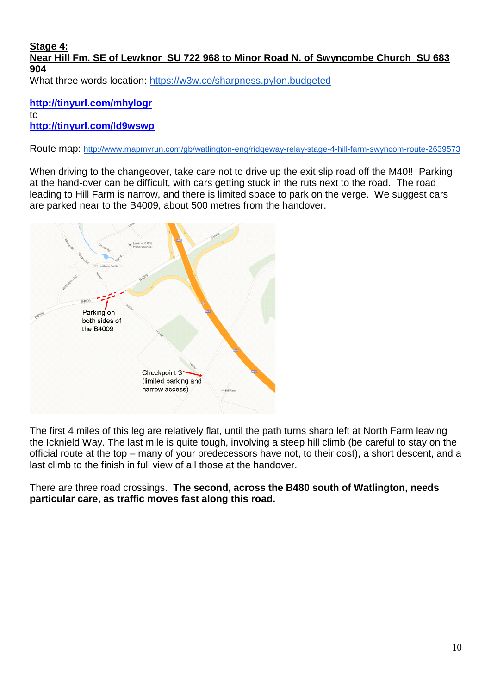#### **Stage 4: Near Hill Fm. SE of Lewknor SU 722 968 to Minor Road N. of Swyncombe Church SU 683 904** What three words location:<https://w3w.co/sharpness.pylon.budgeted>

**<http://tinyurl.com/mhylogr>** to **<http://tinyurl.com/ld9wswp>**

Route map: <http://www.mapmyrun.com/gb/watlington-eng/ridgeway-relay-stage-4-hill-farm-swyncom-route-2639573>

When driving to the changeover, take care not to drive up the exit slip road off the M40!! Parking at the hand-over can be difficult, with cars getting stuck in the ruts next to the road. The road leading to Hill Farm is narrow, and there is limited space to park on the verge. We suggest cars are parked near to the B4009, about 500 metres from the handover.



The first 4 miles of this leg are relatively flat, until the path turns sharp left at North Farm leaving the Icknield Way. The last mile is quite tough, involving a steep hill climb (be careful to stay on the official route at the top – many of your predecessors have not, to their cost), a short descent, and a last climb to the finish in full view of all those at the handover.

There are three road crossings. **The second, across the B480 south of Watlington, needs particular care, as traffic moves fast along this road.**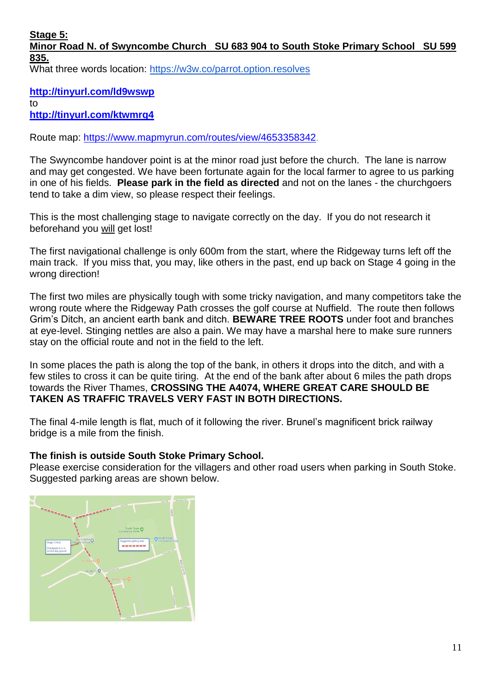**Stage 5:**

# **Minor Road N. of Swyncombe Church SU 683 904 to South Stoke Primary School SU 599 835.**

What three words location:<https://w3w.co/parrot.option.resolves>

**<http://tinyurl.com/ld9wswp>** to

**<http://tinyurl.com/ktwmrq4>**

Route map:<https://www.mapmyrun.com/routes/view/4653358342>.

The Swyncombe handover point is at the minor road just before the church. The lane is narrow and may get congested. We have been fortunate again for the local farmer to agree to us parking in one of his fields. **Please park in the field as directed** and not on the lanes - the churchgoers tend to take a dim view, so please respect their feelings.

This is the most challenging stage to navigate correctly on the day. If you do not research it beforehand you will get lost!

The first navigational challenge is only 600m from the start, where the Ridgeway turns left off the main track. If you miss that, you may, like others in the past, end up back on Stage 4 going in the wrong direction!

The first two miles are physically tough with some tricky navigation, and many competitors take the wrong route where the Ridgeway Path crosses the golf course at Nuffield. The route then follows Grim's Ditch, an ancient earth bank and ditch. **BEWARE TREE ROOTS** under foot and branches at eye-level. Stinging nettles are also a pain. We may have a marshal here to make sure runners stay on the official route and not in the field to the left.

In some places the path is along the top of the bank, in others it drops into the ditch, and with a few stiles to cross it can be quite tiring. At the end of the bank after about 6 miles the path drops towards the River Thames, **CROSSING THE A4074, WHERE GREAT CARE SHOULD BE TAKEN AS TRAFFIC TRAVELS VERY FAST IN BOTH DIRECTIONS.**

The final 4-mile length is flat, much of it following the river. Brunel's magnificent brick railway bridge is a mile from the finish.

### **The finish is outside South Stoke Primary School.**

Please exercise consideration for the villagers and other road users when parking in South Stoke. Suggested parking areas are shown below.

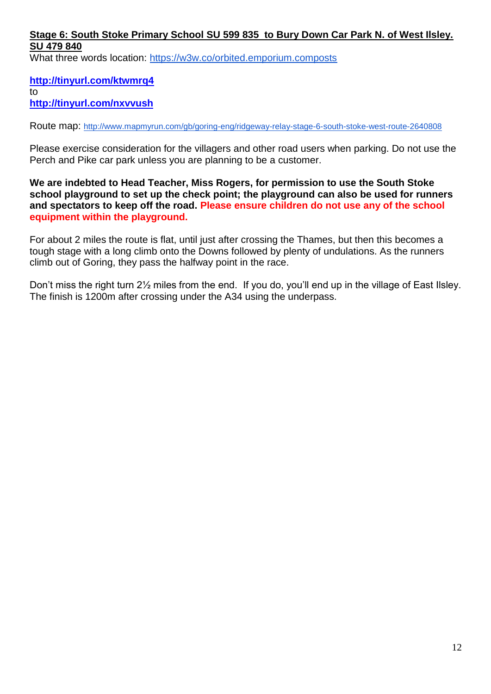## **Stage 6: South Stoke Primary School SU 599 835 to Bury Down Car Park N. of West Ilsley. SU 479 840**

What three words location:<https://w3w.co/orbited.emporium.composts>

## **<http://tinyurl.com/ktwmrq4>**

to

**<http://tinyurl.com/nxvvush>**

Route map: <http://www.mapmyrun.com/gb/goring-eng/ridgeway-relay-stage-6-south-stoke-west-route-2640808>

Please exercise consideration for the villagers and other road users when parking. Do not use the Perch and Pike car park unless you are planning to be a customer.

**We are indebted to Head Teacher, Miss Rogers, for permission to use the South Stoke school playground to set up the check point; the playground can also be used for runners and spectators to keep off the road. Please ensure children do not use any of the school equipment within the playground.**

For about 2 miles the route is flat, until just after crossing the Thames, but then this becomes a tough stage with a long climb onto the Downs followed by plenty of undulations. As the runners climb out of Goring, they pass the halfway point in the race.

Don't miss the right turn 2½ miles from the end. If you do, you'll end up in the village of East Ilsley. The finish is 1200m after crossing under the A34 using the underpass.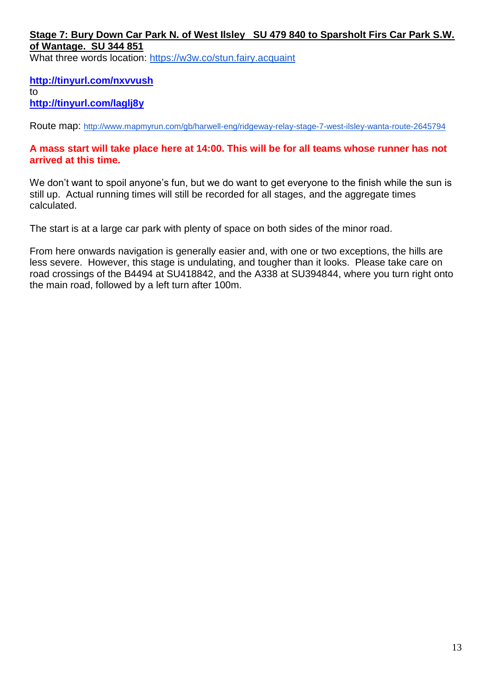## **Stage 7: Bury Down Car Park N. of West Ilsley SU 479 840 to Sparsholt Firs Car Park S.W. of Wantage. SU 344 851**

What three words location:<https://w3w.co/stun.fairy.acquaint>

## **<http://tinyurl.com/nxvvush>**

to

**http://tinyurl.com/laglj8y**

Route map: <http://www.mapmyrun.com/gb/harwell-eng/ridgeway-relay-stage-7-west-ilsley-wanta-route-2645794>

### **A mass start will take place here at 14:00. This will be for all teams whose runner has not arrived at this time.**

We don't want to spoil anyone's fun, but we do want to get everyone to the finish while the sun is still up. Actual running times will still be recorded for all stages, and the aggregate times calculated.

The start is at a large car park with plenty of space on both sides of the minor road.

From here onwards navigation is generally easier and, with one or two exceptions, the hills are less severe. However, this stage is undulating, and tougher than it looks. Please take care on road crossings of the B4494 at SU418842, and the A338 at SU394844, where you turn right onto the main road, followed by a left turn after 100m.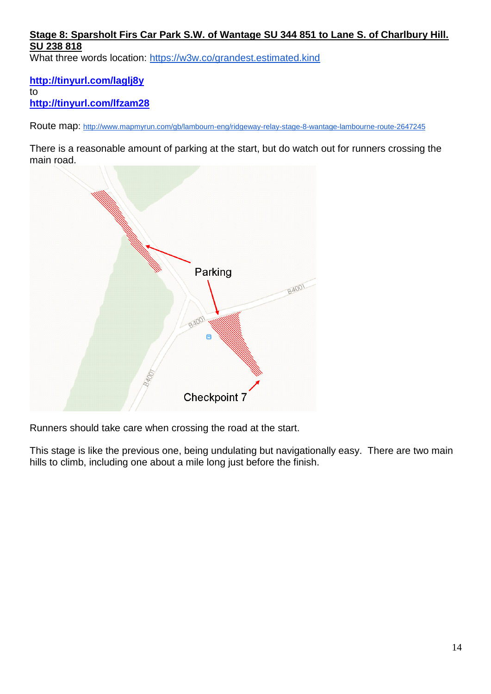## **Stage 8: Sparsholt Firs Car Park S.W. of Wantage SU 344 851 to Lane S. of Charlbury Hill. SU 238 818**

What three words location:<https://w3w.co/grandest.estimated.kind>

**<http://tinyurl.com/laglj8y>** to **<http://tinyurl.com/lfzam28>**

Route map: <http://www.mapmyrun.com/gb/lambourn-eng/ridgeway-relay-stage-8-wantage-lambourne-route-2647245>

There is a reasonable amount of parking at the start, but do watch out for runners crossing the main road.



Runners should take care when crossing the road at the start.

This stage is like the previous one, being undulating but navigationally easy. There are two main hills to climb, including one about a mile long just before the finish.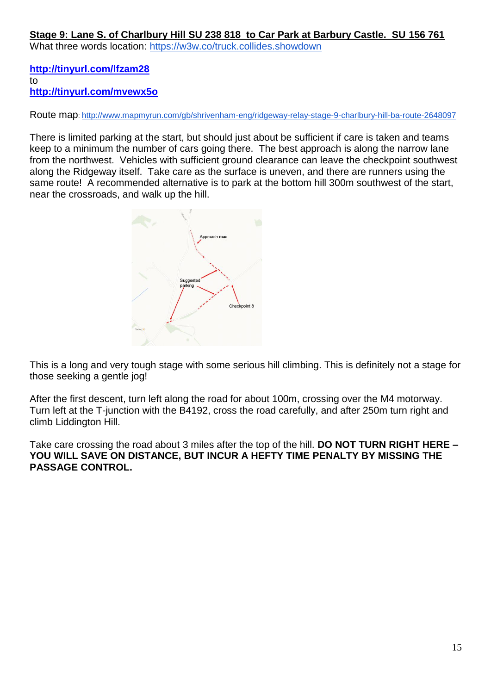## **Stage 9: Lane S. of Charlbury Hill SU 238 818 to Car Park at Barbury Castle. SU 156 761**

What three words location:<https://w3w.co/truck.collides.showdown>

**<http://tinyurl.com/lfzam28>** to **<http://tinyurl.com/mvewx5o>**

Route map: <http://www.mapmyrun.com/gb/shrivenham-eng/ridgeway-relay-stage-9-charlbury-hill-ba-route-2648097>

There is limited parking at the start, but should just about be sufficient if care is taken and teams keep to a minimum the number of cars going there. The best approach is along the narrow lane from the northwest. Vehicles with sufficient ground clearance can leave the checkpoint southwest along the Ridgeway itself. Take care as the surface is uneven, and there are runners using the same route! A recommended alternative is to park at the bottom hill 300m southwest of the start, near the crossroads, and walk up the hill.



This is a long and very tough stage with some serious hill climbing. This is definitely not a stage for those seeking a gentle jog!

After the first descent, turn left along the road for about 100m, crossing over the M4 motorway. Turn left at the T-junction with the B4192, cross the road carefully, and after 250m turn right and climb Liddington Hill.

Take care crossing the road about 3 miles after the top of the hill. **DO NOT TURN RIGHT HERE – YOU WILL SAVE ON DISTANCE, BUT INCUR A HEFTY TIME PENALTY BY MISSING THE PASSAGE CONTROL.**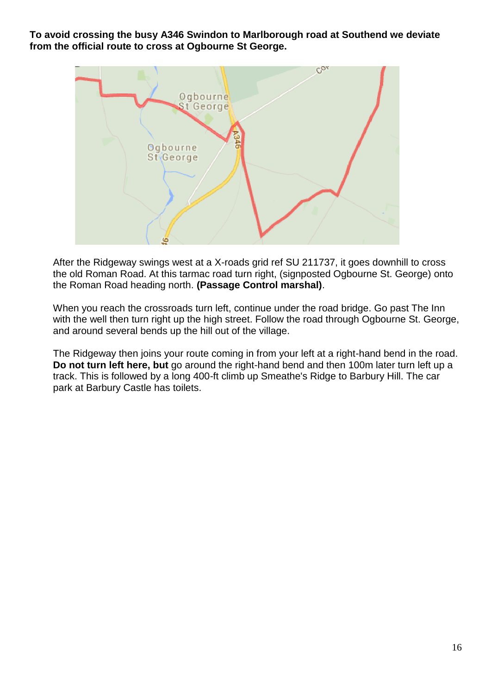**To avoid crossing the busy A346 Swindon to Marlborough road at Southend we deviate from the official route to cross at Ogbourne St George.**



After the Ridgeway swings west at a X-roads grid ref SU 211737, it goes downhill to cross the old Roman Road. At this tarmac road turn right, (signposted Ogbourne St. George) onto the Roman Road heading north. **(Passage Control marshal)**.

When you reach the crossroads turn left, continue under the road bridge. Go past The Inn with the well then turn right up the high street. Follow the road through Ogbourne St. George, and around several bends up the hill out of the village.

The Ridgeway then joins your route coming in from your left at a right-hand bend in the road. **Do not turn left here, but** go around the right-hand bend and then 100m later turn left up a track. This is followed by a long 400-ft climb up Smeathe's Ridge to Barbury Hill. The car park at Barbury Castle has toilets.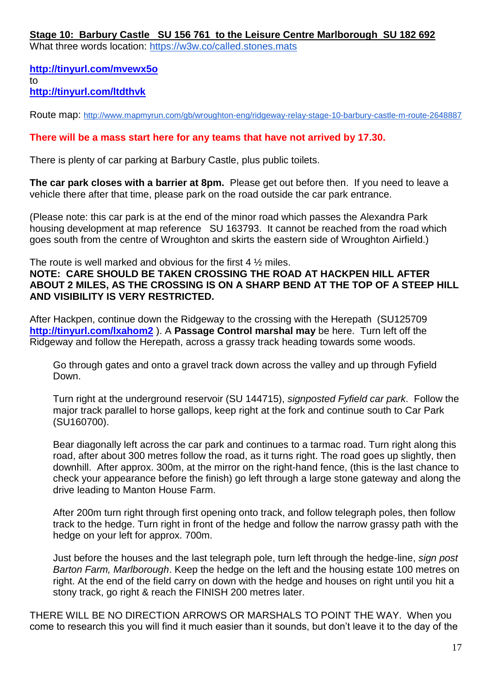**Stage 10: Barbury Castle SU 156 761 to the Leisure Centre Marlborough SU 182 692**

What three words location:<https://w3w.co/called.stones.mats>

**<http://tinyurl.com/mvewx5o>** to **<http://tinyurl.com/ltdthvk>**

Route map: <http://www.mapmyrun.com/gb/wroughton-eng/ridgeway-relay-stage-10-barbury-castle-m-route-2648887>

## **There will be a mass start here for any teams that have not arrived by 17.30.**

There is plenty of car parking at Barbury Castle, plus public toilets.

**The car park closes with a barrier at 8pm.** Please get out before then. If you need to leave a vehicle there after that time, please park on the road outside the car park entrance.

(Please note: this car park is at the end of the minor road which passes the Alexandra Park housing development at map reference SU 163793. It cannot be reached from the road which goes south from the centre of Wroughton and skirts the eastern side of Wroughton Airfield.)

The route is well marked and obvious for the first 4 ½ miles.

**NOTE: CARE SHOULD BE TAKEN CROSSING THE ROAD AT HACKPEN HILL AFTER ABOUT 2 MILES, AS THE CROSSING IS ON A SHARP BEND AT THE TOP OF A STEEP HILL AND VISIBILITY IS VERY RESTRICTED.**

After Hackpen, continue down the Ridgeway to the crossing with the Herepath (SU125709 **<http://tinyurl.com/lxahom2>** ). A **Passage Control marshal may** be here. Turn left off the Ridgeway and follow the Herepath, across a grassy track heading towards some woods.

Go through gates and onto a gravel track down across the valley and up through Fyfield Down.

Turn right at the underground reservoir (SU 144715), *signposted Fyfield car park*. Follow the major track parallel to horse gallops, keep right at the fork and continue south to Car Park (SU160700).

Bear diagonally left across the car park and continues to a tarmac road. Turn right along this road, after about 300 metres follow the road, as it turns right. The road goes up slightly, then downhill. After approx. 300m, at the mirror on the right-hand fence, (this is the last chance to check your appearance before the finish) go left through a large stone gateway and along the drive leading to Manton House Farm.

After 200m turn right through first opening onto track, and follow telegraph poles, then follow track to the hedge. Turn right in front of the hedge and follow the narrow grassy path with the hedge on your left for approx. 700m.

Just before the houses and the last telegraph pole, turn left through the hedge-line, *sign post Barton Farm, Marlborough*. Keep the hedge on the left and the housing estate 100 metres on right. At the end of the field carry on down with the hedge and houses on right until you hit a stony track, go right & reach the FINISH 200 metres later.

THERE WILL BE NO DIRECTION ARROWS OR MARSHALS TO POINT THE WAY. When you come to research this you will find it much easier than it sounds, but don't leave it to the day of the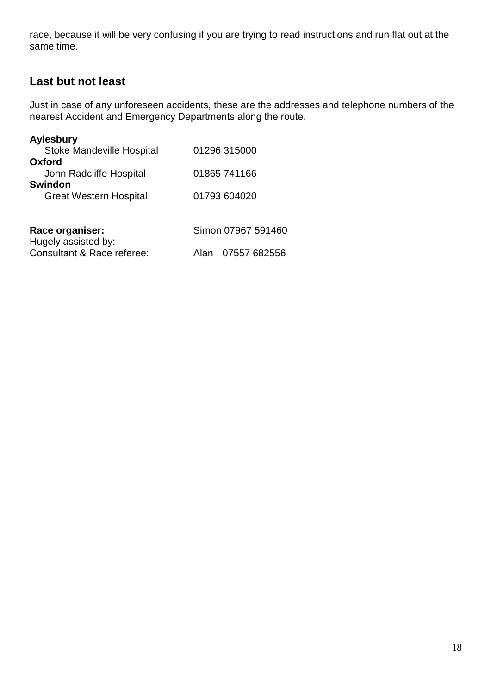race, because it will be very confusing if you are trying to read instructions and run flat out at the same time.

# **Last but not least**

Just in case of any unforeseen accidents, these are the addresses and telephone numbers of the nearest Accident and Emergency Departments along the route.

| <b>Aylesbury</b>                       |                      |
|----------------------------------------|----------------------|
| <b>Stoke Mandeville Hospital</b>       | 01296 315000         |
| Oxford                                 |                      |
| John Radcliffe Hospital                | 01865 741166         |
| <b>Swindon</b>                         |                      |
| <b>Great Western Hospital</b>          | 01793 604020         |
|                                        |                      |
| Race organiser:<br>Hugely assisted by: | Simon 07967 591460   |
| Consultant & Race referee:             | 07557 682556<br>Alan |